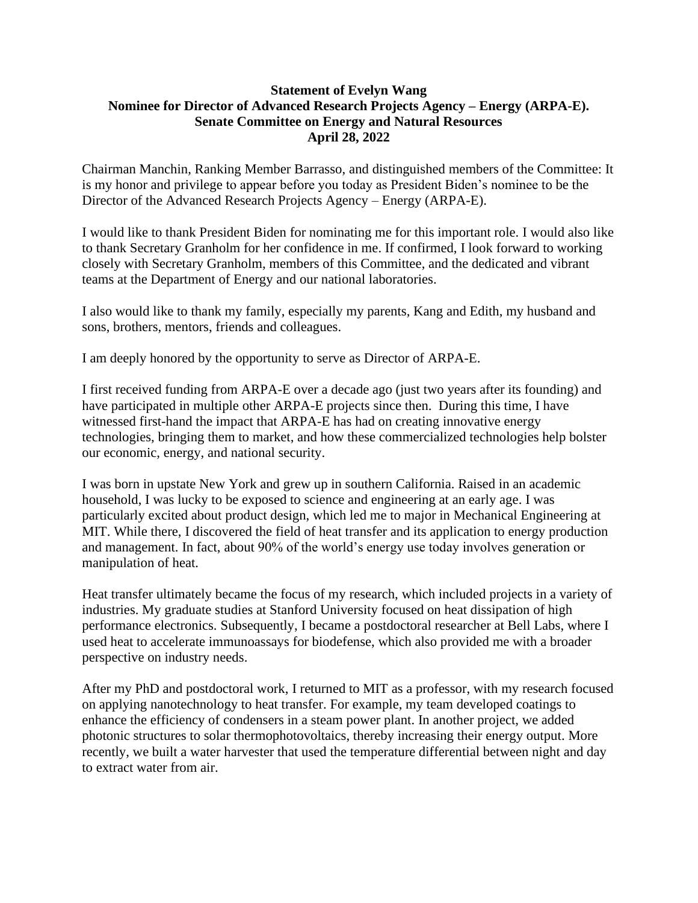## **Statement of Evelyn Wang Nominee for Director of Advanced Research Projects Agency – Energy (ARPA-E). Senate Committee on Energy and Natural Resources April 28, 2022**

Chairman Manchin, Ranking Member Barrasso, and distinguished members of the Committee: It is my honor and privilege to appear before you today as President Biden's nominee to be the Director of the Advanced Research Projects Agency – Energy (ARPA-E).

I would like to thank President Biden for nominating me for this important role. I would also like to thank Secretary Granholm for her confidence in me. If confirmed, I look forward to working closely with Secretary Granholm, members of this Committee, and the dedicated and vibrant teams at the Department of Energy and our national laboratories.

I also would like to thank my family, especially my parents, Kang and Edith, my husband and sons, brothers, mentors, friends and colleagues.

I am deeply honored by the opportunity to serve as Director of ARPA-E.

I first received funding from ARPA-E over a decade ago (just two years after its founding) and have participated in multiple other ARPA-E projects since then. During this time, I have witnessed first-hand the impact that ARPA-E has had on creating innovative energy technologies, bringing them to market, and how these commercialized technologies help bolster our economic, energy, and national security.

I was born in upstate New York and grew up in southern California. Raised in an academic household, I was lucky to be exposed to science and engineering at an early age. I was particularly excited about product design, which led me to major in Mechanical Engineering at MIT. While there, I discovered the field of heat transfer and its application to energy production and management. In fact, about 90% of the world's energy use today involves generation or manipulation of heat.

Heat transfer ultimately became the focus of my research, which included projects in a variety of industries. My graduate studies at Stanford University focused on heat dissipation of high performance electronics. Subsequently, I became a postdoctoral researcher at Bell Labs, where I used heat to accelerate immunoassays for biodefense, which also provided me with a broader perspective on industry needs.

After my PhD and postdoctoral work, I returned to MIT as a professor, with my research focused on applying nanotechnology to heat transfer. For example, my team developed coatings to enhance the efficiency of condensers in a steam power plant. In another project, we added photonic structures to solar thermophotovoltaics, thereby increasing their energy output. More recently, we built a water harvester that used the temperature differential between night and day to extract water from air.